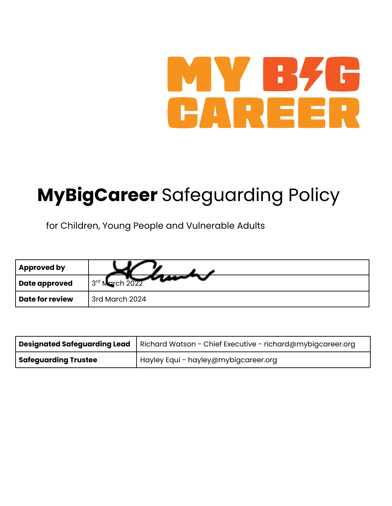# MY BZ  $\Box$ CAREER

## **MyBigCareer** Safeguarding Policy

for Children, Young People and Vulnerable Adults

| <b>Approved by</b> |                |
|--------------------|----------------|
| Date approved      | 3rd March 2022 |
| Date for review    | 3rd March 2024 |

|                             | Designated Safeguarding Lead   Richard Watson - Chief Executive - richard@mybigcareer.org |
|-----------------------------|-------------------------------------------------------------------------------------------|
| <b>Safeguarding Trustee</b> | Hayley Equi - hayley@mybigcareer.org                                                      |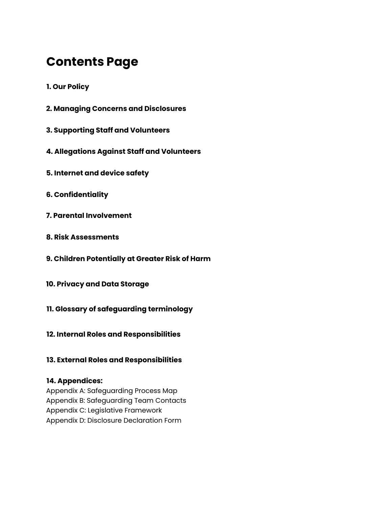### **Contents Page**

- **1. Our Policy**
- **2. Managing Concerns and Disclosures**
- **3. Supporting Staff and Volunteers**
- **4. Allegations Against Staff and Volunteers**
- **5. Internet and device safety**
- **6. Confidentiality**
- **7. Parental Involvement**
- **8. Risk Assessments**
- **9. Children Potentially at Greater Risk of Harm**
- **10. Privacy and Data Storage**
- **11. Glossary of safeguarding terminology**
- **12. Internal Roles and Responsibilities**
- **13. External Roles and Responsibilities**

#### **14. Appendices:**

Appendix A: Safeguarding Process Map Appendix B: Safeguarding Team Contacts Appendix C: Legislative Framework Appendix D: Disclosure Declaration Form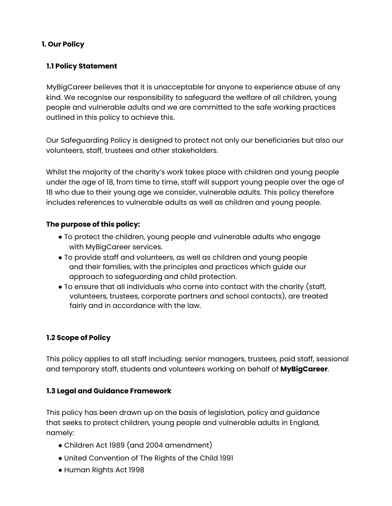#### **1. Our Policy**

#### **1.1 Policy Statement**

MyBigCareer believes that it is unacceptable for anyone to experience abuse of any kind. We recognise our responsibility to safeguard the welfare of all children, young people and vulnerable adults and we are committed to the safe working practices outlined in this policy to achieve this.

Our Safeguarding Policy is designed to protect not only our beneficiaries but also our volunteers, staff, trustees and other stakeholders.

Whilst the majority of the charity's work takes place with children and young people under the age of 18, from time to time, staff will support young people over the age of 18 who due to their young age we consider, vulnerable adults. This policy therefore includes references to vulnerable adults as well as children and young people.

#### **The purpose of this policy:**

- To protect the children, young people and vulnerable adults who engage with MyBigCareer services.
- To provide staff and volunteers, as well as children and young people and their families, with the principles and practices which guide our approach to safeguarding and child protection.
- To ensure that all individuals who come into contact with the charity (staff, volunteers, trustees, corporate partners and school contacts), are treated fairly and in accordance with the law.

#### **1.2 Scope of Policy**

This policy applies to all staff including: senior managers, trustees, paid staff, sessional and temporary staff, students and volunteers working on behalf of **MyBigCareer**.

#### **1.3 Legal and Guidance Framework**

This policy has been drawn up on the basis of legislation, policy and guidance that seeks to protect children, young people and vulnerable adults in England, namely:

- Children Act 1989 (and 2004 amendment)
- United Convention of The Rights of the Child 1991
- Human Rights Act 1998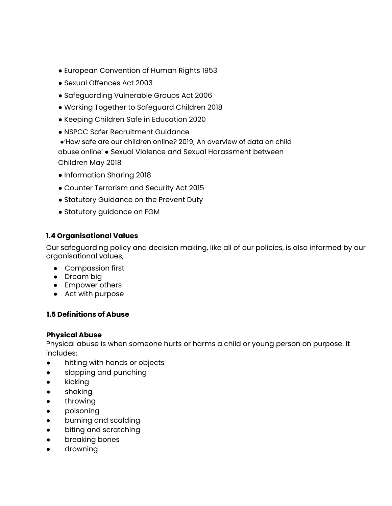- European Convention of Human Rights 1953
- Sexual Offences Act 2003
- Safeguarding Vulnerable Groups Act 2006
- Working Together to Safeguard Children 2018
- Keeping Children Safe in Education 2020
- NSPCC Safer Recruitment Guidance

●'How safe are our children online? 2019; An overview of data on child abuse online' ● Sexual Violence and Sexual Harassment between Children May 2018

- Information Sharing 2018
- Counter Terrorism and Security Act 2015
- Statutory Guidance on the Prevent Duty
- Statutory guidance on FGM

#### **1.4 Organisational Values**

Our safeguarding policy and decision making, like all of our policies, is also informed by our organisational values;

- Compassion first
- Dream big
- Empower others
- Act with purpose

#### **1.5 Definitions of Abuse**

#### **Physical Abuse**

Physical abuse is when someone hurts or harms a child or young person on purpose. It includes:

- hitting with hands or objects
- slapping and punching
- kicking
- shaking
- throwing
- poisoning
- burning and scalding
- biting and scratching
- breaking bones
- drowning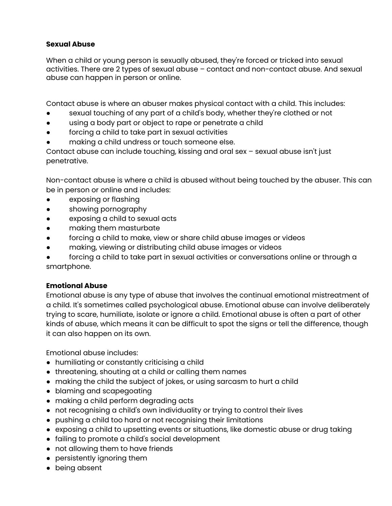#### **Sexual Abuse**

When a child or young person is sexually abused, they're forced or tricked into sexual activities. There are 2 types of sexual abuse – contact and non-contact abuse. And sexual abuse can happen in person or online.

Contact abuse is where an abuser makes physical contact with a child. This includes:

- sexual touching of any part of a child's body, whether they're clothed or not
- using a body part or object to rape or penetrate a child
- forcing a child to take part in sexual activities
- making a child undress or touch someone else.

Contact abuse can include touching, kissing and oral sex – sexual abuse isn't just penetrative.

Non-contact abuse is where a child is abused without being touched by the abuser. This can be in person or online and includes:

- exposing or flashing
- showing pornography
- exposing a child to sexual acts
- making them masturbate
- forcing a child to make, view or share child abuse images or videos
- making, viewing or distributing child abuse images or videos
- forcing a child to take part in sexual activities or conversations online or through a smartphone.

#### **Emotional Abuse**

Emotional abuse is any type of abuse that involves the continual emotional mistreatment of a child. It's sometimes called psychological abuse. Emotional abuse can involve deliberately trying to scare, humiliate, isolate or ignore a child. Emotional abuse is often a part of other kinds of abuse, which means it can be difficult to spot the signs or tell the difference, though it can also happen on its own.

Emotional abuse includes:

- humiliating or constantly criticising a child
- threatening, shouting at a child or calling them names
- making the child the subject of jokes, or using sarcasm to hurt a child
- blaming and scapegoating
- making a child perform degrading acts
- not recognising a child's own individuality or trying to control their lives
- pushing a child too hard or not recognising their limitations
- exposing a child to upsetting events or situations, like domestic abuse or drug taking
- failing to promote a child's social development
- not allowing them to have friends
- persistently ignoring them
- being absent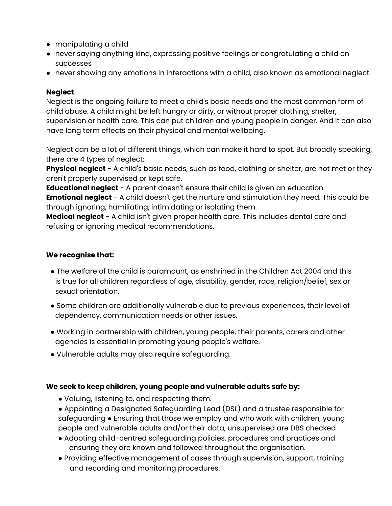- manipulating a child
- never saying anything kind, expressing positive feelings or congratulating a child on successes
- never showing any emotions in interactions with a child, also known as emotional neglect.

#### **Neglect**

Neglect is the ongoing failure to meet a child's basic needs and the most common form of child abuse. A child might be left hungry or dirty, or without proper clothing, shelter, supervision or health care. This can put children and young people in danger. And it can also have long term effects on their physical and mental wellbeing.

Neglect can be a lot of different things, which can make it hard to spot. But broadly speaking, there are 4 types of neglect:

**Physical neglect** - A child's basic needs, such as food, clothing or shelter, are not met or they aren't properly supervised or kept safe.

**Educational neglect** - A parent doesn't ensure their child is given an education.

**Emotional neglect** - A child doesn't get the nurture and stimulation they need. This could be through ignoring, humiliating, intimidating or isolating them.

**Medical neglect** - A child isn't given proper health care. This includes dental care and refusing or ignoring medical recommendations.

#### **We recognise that:**

- The welfare of the child is paramount, as enshrined in the Children Act 2004 and this is true for all children regardless of age, disability, gender, race, religion/belief, sex or sexual orientation.
- Some children are additionally vulnerable due to previous experiences, their level of dependency, communication needs or other issues.
- Working in partnership with children, young people, their parents, carers and other agencies is essential in promoting young people's welfare.
- Vulnerable adults may also require safeguarding.

#### **We seek to keep children, young people and vulnerable adults safe by:**

- Valuing, listening to, and respecting them.
- Appointing a Designated Safeguarding Lead (DSL) and a trustee responsible for safeguarding • Ensuring that those we employ and who work with children, young people and vulnerable adults and/or their data, unsupervised are DBS checked
- Adopting child-centred safeguarding policies, procedures and practices and ensuring they are known and followed throughout the organisation.
- Providing effective management of cases through supervision, support, training and recording and monitoring procedures.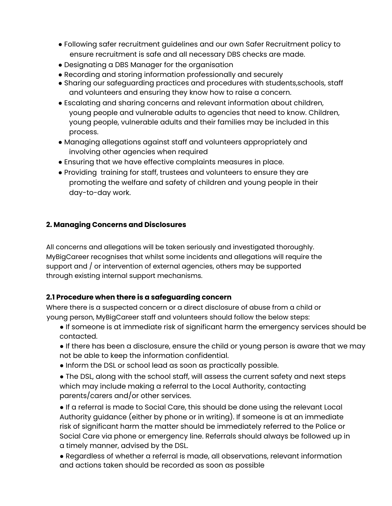- Following safer recruitment guidelines and our own Safer Recruitment policy to ensure recruitment is safe and all necessary DBS checks are made.
- Designating a DBS Manager for the organisation
- Recording and storing information professionally and securely
- Sharing our safeguarding practices and procedures with students,schools, staff and volunteers and ensuring they know how to raise a concern.
- Escalating and sharing concerns and relevant information about children, young people and vulnerable adults to agencies that need to know. Children, young people, vulnerable adults and their families may be included in this process.
- Managing allegations against staff and volunteers appropriately and involving other agencies when required
- Ensuring that we have effective complaints measures in place.
- Providing training for staff, trustees and volunteers to ensure they are promoting the welfare and safety of children and young people in their day-to-day work.

#### **2. Managing Concerns and Disclosures**

All concerns and allegations will be taken seriously and investigated thoroughly. MyBigCareer recognises that whilst some incidents and allegations will require the support and / or intervention of external agencies, others may be supported through existing internal support mechanisms.

#### **2.1 Procedure when there is a safeguarding concern**

Where there is a suspected concern or a direct disclosure of abuse from a child or young person, MyBigCareer staff and volunteers should follow the below steps:

- If someone is at immediate risk of significant harm the emergency services should be contacted.
- If there has been a disclosure, ensure the child or young person is aware that we may not be able to keep the information confidential.
- Inform the DSL or school lead as soon as practically possible.
- The DSL, along with the school staff, will assess the current safety and next steps which may include making a referral to the Local Authority, contacting parents/carers and/or other services.

● If a referral is made to Social Care, this should be done using the relevant Local Authority guidance (either by phone or in writing). If someone is at an immediate risk of significant harm the matter should be immediately referred to the Police or Social Care via phone or emergency line. Referrals should always be followed up in a timely manner, advised by the DSL.

● Regardless of whether a referral is made, all observations, relevant information and actions taken should be recorded as soon as possible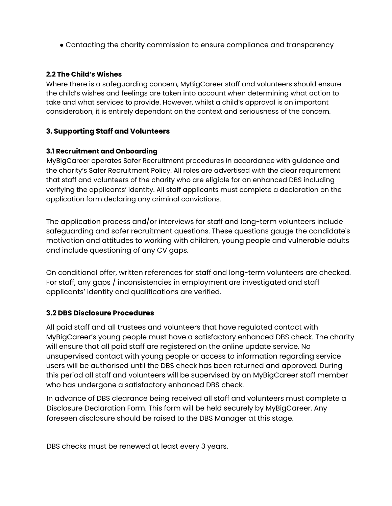● Contacting the charity commission to ensure compliance and transparency

#### **2.2 The Child's Wishes**

Where there is a safeguarding concern, MyBigCareer staff and volunteers should ensure the child's wishes and feelings are taken into account when determining what action to take and what services to provide. However, whilst a child's approval is an important consideration, it is entirely dependant on the context and seriousness of the concern.

#### **3. Supporting Staff and Volunteers**

#### **3.1 Recruitment and Onboarding**

MyBigCareer operates Safer Recruitment procedures in accordance with guidance and the charity's Safer Recruitment Policy. All roles are advertised with the clear requirement that staff and volunteers of the charity who are eligible for an enhanced DBS including verifying the applicants' identity. All staff applicants must complete a declaration on the application form declaring any criminal convictions.

The application process and/or interviews for staff and long-term volunteers include safeguarding and safer recruitment questions. These questions gauge the candidate's motivation and attitudes to working with children, young people and vulnerable adults and include questioning of any CV gaps.

On conditional offer, written references for staff and long-term volunteers are checked. For staff, any gaps / inconsistencies in employment are investigated and staff applicants' identity and qualifications are verified.

#### **3.2 DBS Disclosure Procedures**

All paid staff and all trustees and volunteers that have regulated contact with MyBigCareer's young people must have a satisfactory enhanced DBS check. The charity will ensure that all paid staff are registered on the online update service. No unsupervised contact with young people or access to information regarding service users will be authorised until the DBS check has been returned and approved. During this period all staff and volunteers will be supervised by an MyBigCareer staff member who has undergone a satisfactory enhanced DBS check.

In advance of DBS clearance being received all staff and volunteers must complete a Disclosure Declaration Form. This form will be held securely by MyBigCareer. Any foreseen disclosure should be raised to the DBS Manager at this stage.

DBS checks must be renewed at least every 3 years.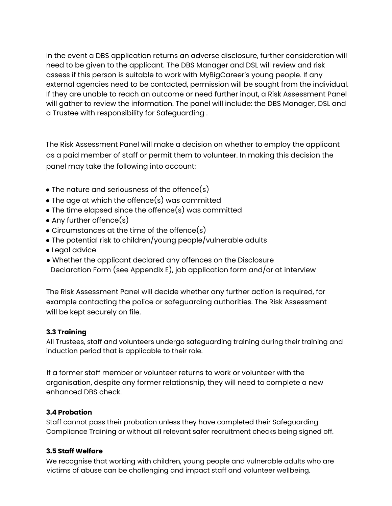In the event a DBS application returns an adverse disclosure, further consideration will need to be given to the applicant. The DBS Manager and DSL will review and risk assess if this person is suitable to work with MyBigCareer's young people. If any external agencies need to be contacted, permission will be sought from the individual. If they are unable to reach an outcome or need further input, a Risk Assessment Panel will gather to review the information. The panel will include: the DBS Manager, DSL and a Trustee with responsibility for Safeguarding .

The Risk Assessment Panel will make a decision on whether to employ the applicant as a paid member of staff or permit them to volunteer. In making this decision the panel may take the following into account:

- $\bullet$  The nature and seriousness of the offence(s)
- $\bullet$  The age at which the offence(s) was committed
- $\bullet$  The time elapsed since the offence(s) was committed
- Any further offence $(s)$
- $\bullet$  Circumstances at the time of the offence(s)
- The potential risk to children/young people/vulnerable adults
- Legal advice
- Whether the applicant declared any offences on the Disclosure Declaration Form (see Appendix E), job application form and/or at interview

The Risk Assessment Panel will decide whether any further action is required, for example contacting the police or safeguarding authorities. The Risk Assessment will be kept securely on file.

#### **3.3 Training**

All Trustees, staff and volunteers undergo safeguarding training during their training and induction period that is applicable to their role.

If a former staff member or volunteer returns to work or volunteer with the organisation, despite any former relationship, they will need to complete a new enhanced DBS check.

#### **3.4 Probation**

Staff cannot pass their probation unless they have completed their Safeguarding Compliance Training or without all relevant safer recruitment checks being signed off.

#### **3.5 Staff Welfare**

We recognise that working with children, young people and vulnerable adults who are victims of abuse can be challenging and impact staff and volunteer wellbeing.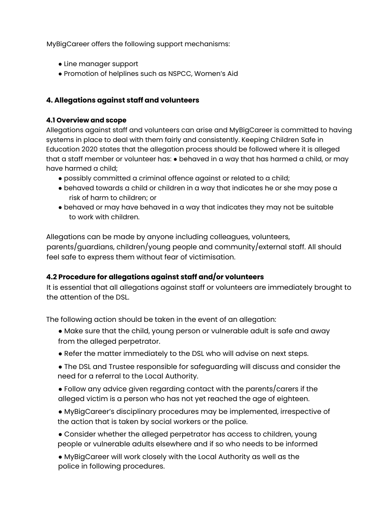MyBigCareer offers the following support mechanisms:

- Line manager support
- Promotion of helplines such as NSPCC, Women's Aid

#### **4. Allegations against staff and volunteers**

#### **4.1 Overview and scope**

Allegations against staff and volunteers can arise and MyBigCareer is committed to having systems in place to deal with them fairly and consistently. Keeping Children Safe in Education 2020 states that the allegation process should be followed where it is alleged that a staff member or volunteer has: ● behaved in a way that has harmed a child, or may have harmed a child;

- possibly committed a criminal offence against or related to a child;
- behaved towards a child or children in a way that indicates he or she may pose a risk of harm to children; or
- behaved or may have behaved in a way that indicates they may not be suitable to work with children.

Allegations can be made by anyone including colleagues, volunteers, parents/guardians, children/young people and community/external staff. All should feel safe to express them without fear of victimisation.

#### **4.2 Procedure for allegations against staff and/or volunteers**

It is essential that all allegations against staff or volunteers are immediately brought to the attention of the DSL.

The following action should be taken in the event of an allegation:

- Make sure that the child, young person or vulnerable adult is safe and away from the alleged perpetrator.
- Refer the matter immediately to the DSL who will advise on next steps.
- The DSL and Trustee responsible for safeguarding will discuss and consider the need for a referral to the Local Authority.
- Follow any advice given regarding contact with the parents/carers if the alleged victim is a person who has not yet reached the age of eighteen.
- MyBigCareer's disciplinary procedures may be implemented, irrespective of the action that is taken by social workers or the police.
- Consider whether the alleged perpetrator has access to children, young people or vulnerable adults elsewhere and if so who needs to be informed
- MyBigCareer will work closely with the Local Authority as well as the police in following procedures.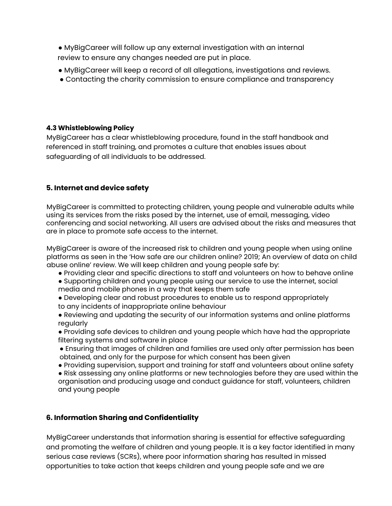- MyBigCareer will follow up any external investigation with an internal review to ensure any changes needed are put in place.
- MyBigCareer will keep a record of all allegations, investigations and reviews.
- Contacting the charity commission to ensure compliance and transparency

#### **4.3 Whistleblowing Policy**

MyBigCareer has a clear whistleblowing procedure, found in the staff handbook and referenced in staff training, and promotes a culture that enables issues about safeguarding of all individuals to be addressed.

#### **5. Internet and device safety**

MyBigCareer is committed to protecting children, young people and vulnerable adults while using its services from the risks posed by the internet, use of email, messaging, video conferencing and social networking. All users are advised about the risks and measures that are in place to promote safe access to the internet.

MyBigCareer is aware of the increased risk to children and young people when using online platforms as seen in the 'How safe are our children online? 2019; An overview of data on child abuse online' review. We will keep children and young people safe by:

- Providing clear and specific directions to staff and volunteers on how to behave online
- Supporting children and young people using our service to use the internet, social media and mobile phones in a way that keeps them safe
- Developing clear and robust procedures to enable us to respond appropriately to any incidents of inappropriate online behaviour
- Reviewing and updating the security of our information systems and online platforms regularly
- Providing safe devices to children and young people which have had the appropriate filtering systems and software in place
- Ensuring that images of children and families are used only after permission has been obtained, and only for the purpose for which consent has been given
- Providing supervision, support and training for staff and volunteers about online safety
- Risk assessing any online platforms or new technologies before they are used within the organisation and producing usage and conduct guidance for staff, volunteers, children and young people

#### **6. Information Sharing and Confidentiality**

MyBigCareer understands that information sharing is essential for effective safeguarding and promoting the welfare of children and young people. It is a key factor identified in many serious case reviews (SCRs), where poor information sharing has resulted in missed opportunities to take action that keeps children and young people safe and we are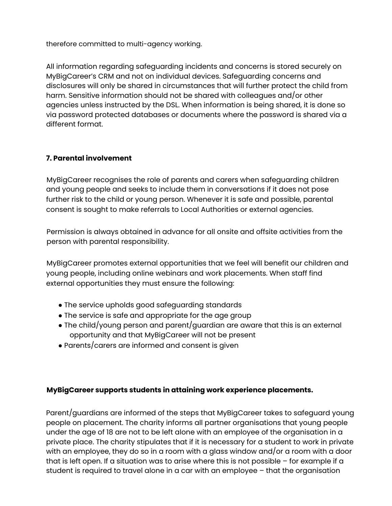therefore committed to multi-agency working.

All information regarding safeguarding incidents and concerns is stored securely on MyBigCareer's CRM and not on individual devices. Safeguarding concerns and disclosures will only be shared in circumstances that will further protect the child from harm. Sensitive information should not be shared with colleagues and/or other agencies unless instructed by the DSL. When information is being shared, it is done so via password protected databases or documents where the password is shared via a different format.

#### **7. Parental involvement**

MyBigCareer recognises the role of parents and carers when safeguarding children and young people and seeks to include them in conversations if it does not pose further risk to the child or young person. Whenever it is safe and possible, parental consent is sought to make referrals to Local Authorities or external agencies.

Permission is always obtained in advance for all onsite and offsite activities from the person with parental responsibility.

MyBigCareer promotes external opportunities that we feel will benefit our children and young people, including online webinars and work placements. When staff find external opportunities they must ensure the following:

- The service upholds good safeguarding standards
- The service is safe and appropriate for the age group
- $\bullet$  The child/young person and parent/guardian are aware that this is an external opportunity and that MyBigCareer will not be present
- Parents/carers are informed and consent is given

#### **MyBigCareer supports students in attaining work experience placements.**

Parent/guardians are informed of the steps that MyBigCareer takes to safeguard young people on placement. The charity informs all partner organisations that young people under the age of 18 are not to be left alone with an employee of the organisation in a private place. The charity stipulates that if it is necessary for a student to work in private with an employee, they do so in a room with a glass window and/or a room with a door that is left open. If a situation was to arise where this is not possible – for example if a student is required to travel alone in a car with an employee – that the organisation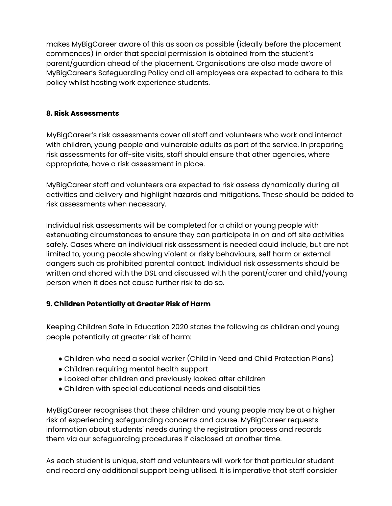makes MyBigCareer aware of this as soon as possible (ideally before the placement commences) in order that special permission is obtained from the student's parent/guardian ahead of the placement. Organisations are also made aware of MyBigCareer's Safeguarding Policy and all employees are expected to adhere to this policy whilst hosting work experience students.

#### **8. Risk Assessments**

MyBigCareer's risk assessments cover all staff and volunteers who work and interact with children, young people and vulnerable adults as part of the service. In preparing risk assessments for off-site visits, staff should ensure that other agencies, where appropriate, have a risk assessment in place.

MyBigCareer staff and volunteers are expected to risk assess dynamically during all activities and delivery and highlight hazards and mitigations. These should be added to risk assessments when necessary.

Individual risk assessments will be completed for a child or young people with extenuating circumstances to ensure they can participate in on and off site activities safely. Cases where an individual risk assessment is needed could include, but are not limited to, young people showing violent or risky behaviours, self harm or external dangers such as prohibited parental contact. Individual risk assessments should be written and shared with the DSL and discussed with the parent/carer and child/young person when it does not cause further risk to do so.

#### **9. Children Potentially at Greater Risk of Harm**

Keeping Children Safe in Education 2020 states the following as children and young people potentially at greater risk of harm:

- Children who need a social worker (Child in Need and Child Protection Plans)
- Children requiring mental health support
- Looked after children and previously looked after children
- Children with special educational needs and disabilities

MyBigCareer recognises that these children and young people may be at a higher risk of experiencing safeguarding concerns and abuse. MyBigCareer requests information about students' needs during the registration process and records them via our safeguarding procedures if disclosed at another time.

As each student is unique, staff and volunteers will work for that particular student and record any additional support being utilised. It is imperative that staff consider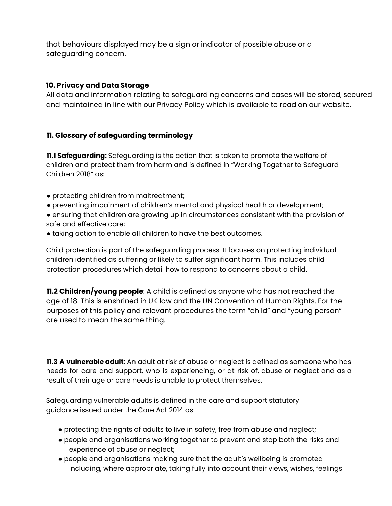that behaviours displayed may be a sign or indicator of possible abuse or a safeguarding concern.

#### **10. Privacy and Data Storage**

All data and information relating to safeguarding concerns and cases will be stored, secured and maintained in line with our Privacy Policy which is available to read on our website.

#### **11. Glossary of safeguarding terminology**

**11.1 Safeguarding:** Safeguarding is the action that is taken to promote the welfare of children and protect them from harm and is defined in "Working Together to Safeguard Children 2018" as:

- protecting children from maltreatment;
- preventing impairment of children's mental and physical health or development;
- ensuring that children are growing up in circumstances consistent with the provision of safe and effective care;
- taking action to enable all children to have the best outcomes.

Child protection is part of the safeguarding process. It focuses on protecting individual children identified as suffering or likely to suffer significant harm. This includes child protection procedures which detail how to respond to concerns about a child.

**11.2 Children/young people**: A child is defined as anyone who has not reached the age of 18. This is enshrined in UK law and the UN Convention of Human Rights. For the purposes of this policy and relevant procedures the term "child" and "young person" are used to mean the same thing.

**11.3 A vulnerable adult:** An adult at risk of abuse or neglect is defined as someone who has needs for care and support, who is experiencing, or at risk of, abuse or neglect and as a result of their age or care needs is unable to protect themselves.

Safeguarding vulnerable adults is defined in the care and support statutory guidance issued under the Care Act 2014 as:

- protecting the rights of adults to live in safety, free from abuse and neglect;
- people and organisations working together to prevent and stop both the risks and experience of abuse or neglect;
- people and organisations making sure that the adult's wellbeing is promoted including, where appropriate, taking fully into account their views, wishes, feelings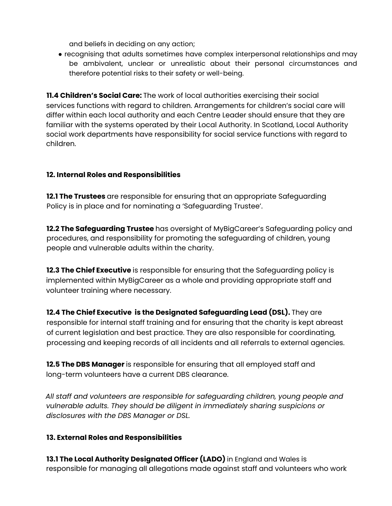and beliefs in deciding on any action;

● recognising that adults sometimes have complex interpersonal relationships and may be ambivalent, unclear or unrealistic about their personal circumstances and therefore potential risks to their safety or well-being.

**11.4 Children's Social Care:** The work of local authorities exercising their social services functions with regard to children. Arrangements for children's social care will differ within each local authority and each Centre Leader should ensure that they are familiar with the systems operated by their Local Authority. In Scotland, Local Authority social work departments have responsibility for social service functions with regard to children.

#### **12. Internal Roles and Responsibilities**

**12.1 The Trustees** are responsible for ensuring that an appropriate Safeguarding Policy is in place and for nominating a 'Safeguarding Trustee'.

**12.2 The Safeguarding Trustee** has oversight of MyBigCareer's Safeguarding policy and procedures, and responsibility for promoting the safeguarding of children, young people and vulnerable adults within the charity.

**12.3 The Chief Executive** is responsible for ensuring that the Safeguarding policy is implemented within MyBigCareer as a whole and providing appropriate staff and volunteer training where necessary.

**12.4 The Chief Executive is the Designated Safeguarding Lead (DSL).** They are responsible for internal staff training and for ensuring that the charity is kept abreast of current legislation and best practice. They are also responsible for coordinating, processing and keeping records of all incidents and all referrals to external agencies.

**12.5 The DBS Manager** is responsible for ensuring that all employed staff and long-term volunteers have a current DBS clearance.

*All staff and volunteers are responsible for safeguarding children, young people and vulnerable adults. They should be diligent in immediately sharing suspicions or disclosures with the DBS Manager or DSL.*

#### **13. External Roles and Responsibilities**

**13.1 The Local Authority Designated Officer (LADO)** in England and Wales is responsible for managing all allegations made against staff and volunteers who work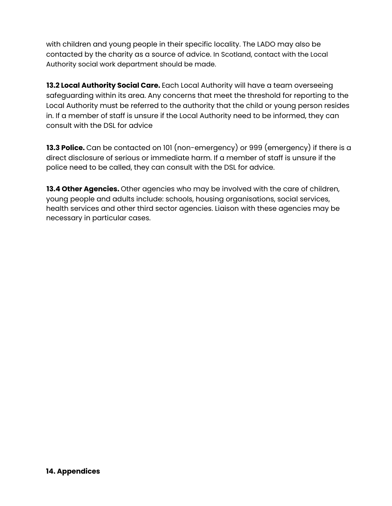with children and young people in their specific locality. The LADO may also be contacted by the charity as a source of advice. In Scotland, contact with the Local Authority social work department should be made.

**13.2 Local Authority Social Care.** Each Local Authority will have a team overseeing safeguarding within its area. Any concerns that meet the threshold for reporting to the Local Authority must be referred to the authority that the child or young person resides in. If a member of staff is unsure if the Local Authority need to be informed, they can consult with the DSL for advice

**13.3 Police.** Can be contacted on 101 (non-emergency) or 999 (emergency) if there is a direct disclosure of serious or immediate harm. If a member of staff is unsure if the police need to be called, they can consult with the DSL for advice.

**13.4 Other Agencies.** Other agencies who may be involved with the care of children, young people and adults include: schools, housing organisations, social services, health services and other third sector agencies. Liaison with these agencies may be necessary in particular cases.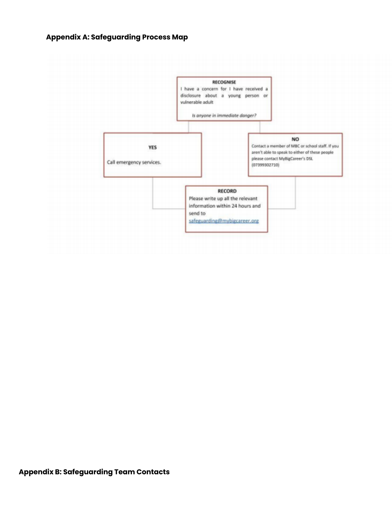#### **Appendix A: Safeguarding Process Map**

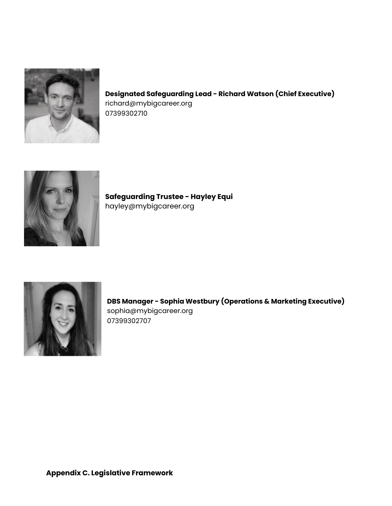

#### **Designated Safeguarding Lead - Richard Watson (Chief Executive)** richard@mybigcareer.org 07399302710



**Safeguarding Trustee - Hayley Equi** hayley@mybigcareer.org



**DBS Manager - Sophia Westbury (Operations & Marketing Executive)** sophia@mybigcareer.org 07399302707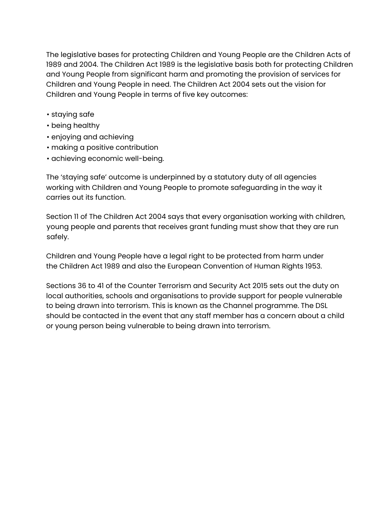The legislative bases for protecting Children and Young People are the Children Acts of 1989 and 2004. The Children Act 1989 is the legislative basis both for protecting Children and Young People from significant harm and promoting the provision of services for Children and Young People in need. The Children Act 2004 sets out the vision for Children and Young People in terms of five key outcomes:

- staying safe
- being healthy
- enjoying and achieving
- making a positive contribution
- achieving economic well-being.

The 'staying safe' outcome is underpinned by a statutory duty of all agencies working with Children and Young People to promote safeguarding in the way it carries out its function.

Section 11 of The Children Act 2004 says that every organisation working with children, young people and parents that receives grant funding must show that they are run safely.

Children and Young People have a legal right to be protected from harm under the Children Act 1989 and also the European Convention of Human Rights 1953.

Sections 36 to 41 of the Counter Terrorism and Security Act 2015 sets out the duty on local authorities, schools and organisations to provide support for people vulnerable to being drawn into terrorism. This is known as the Channel programme. The DSL should be contacted in the event that any staff member has a concern about a child or young person being vulnerable to being drawn into terrorism.